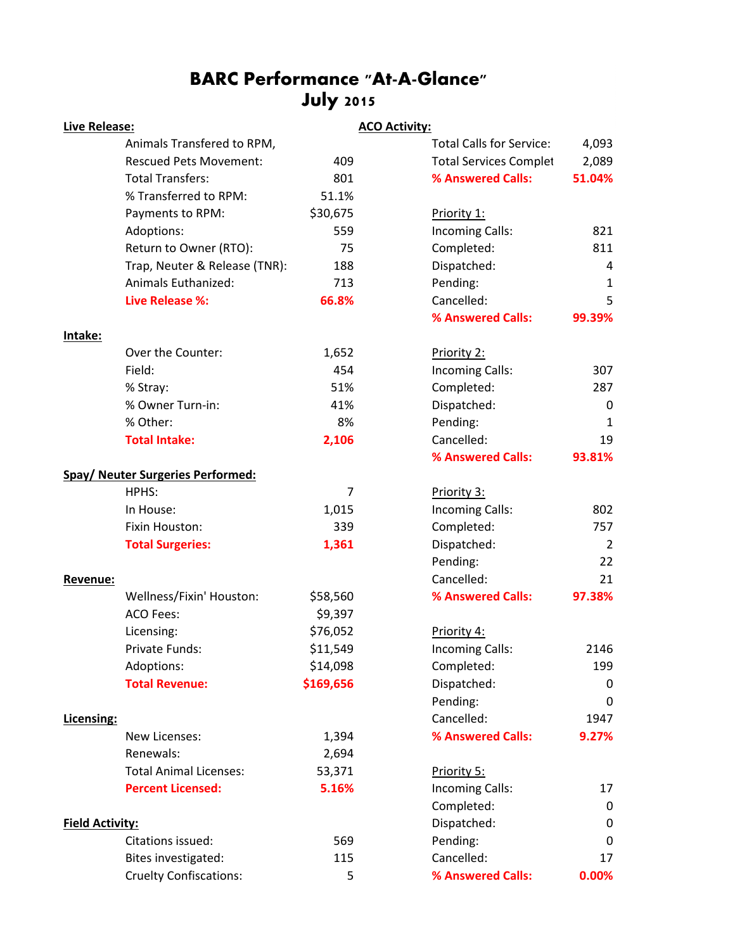# BARC Performance "At-A-Glance" July 2015

| <b>Live Release:</b>   |                                          |                | <b>ACO Activity:</b> |                                 |                  |
|------------------------|------------------------------------------|----------------|----------------------|---------------------------------|------------------|
|                        | Animals Transfered to RPM,               |                |                      | <b>Total Calls for Service:</b> | 4,093            |
|                        | <b>Rescued Pets Movement:</b>            | 409            |                      | <b>Total Services Complet</b>   | 2,089            |
|                        | <b>Total Transfers:</b>                  | 801            |                      | % Answered Calls:               | 51.04%           |
|                        | % Transferred to RPM:                    | 51.1%          |                      |                                 |                  |
|                        | Payments to RPM:                         | \$30,675       |                      | Priority 1:                     |                  |
|                        | Adoptions:                               | 559            |                      | Incoming Calls:                 | 821              |
|                        | Return to Owner (RTO):                   | 75             |                      | Completed:                      | 811              |
|                        | Trap, Neuter & Release (TNR):            | 188            |                      | Dispatched:                     | 4                |
|                        | Animals Euthanized:                      | 713            |                      | Pending:                        | $\mathbf{1}$     |
|                        | <b>Live Release %:</b>                   | 66.8%          |                      | Cancelled:                      | 5                |
|                        |                                          |                |                      | % Answered Calls:               | 99.39%           |
| Intake:                |                                          |                |                      |                                 |                  |
|                        | Over the Counter:                        | 1,652          |                      | Priority 2:                     |                  |
|                        | Field:                                   | 454            |                      | <b>Incoming Calls:</b>          | 307              |
|                        | % Stray:                                 | 51%            |                      | Completed:                      | 287              |
|                        | % Owner Turn-in:                         | 41%            |                      | Dispatched:                     | $\boldsymbol{0}$ |
|                        | % Other:                                 | 8%             |                      | Pending:                        | $\mathbf{1}$     |
|                        | <b>Total Intake:</b>                     | 2,106          |                      | Cancelled:                      | 19               |
|                        |                                          |                |                      | % Answered Calls:               | 93.81%           |
|                        | <b>Spay/ Neuter Surgeries Performed:</b> |                |                      |                                 |                  |
|                        | HPHS:                                    | $\overline{7}$ |                      | Priority 3:                     |                  |
|                        | In House:                                | 1,015          |                      | Incoming Calls:                 | 802              |
|                        | Fixin Houston:                           | 339            |                      | Completed:                      | 757              |
|                        | <b>Total Surgeries:</b>                  | 1,361          |                      | Dispatched:                     | $\overline{2}$   |
|                        |                                          |                |                      | Pending:                        | 22               |
| Revenue:               |                                          |                |                      | Cancelled:                      | 21               |
|                        | Wellness/Fixin' Houston:                 | \$58,560       |                      | % Answered Calls:               | 97.38%           |
|                        | <b>ACO Fees:</b>                         | \$9,397        |                      |                                 |                  |
|                        | Licensing:                               | \$76,052       |                      | Priority 4:                     |                  |
|                        | Private Funds:                           | \$11,549       |                      | Incoming Calls:                 | 2146             |
|                        | Adoptions:                               | \$14,098       |                      | Completed:                      | 199              |
|                        | <b>Total Revenue:</b>                    | \$169,656      |                      | Dispatched:                     | 0                |
|                        |                                          |                |                      | Pending:                        | 0                |
| Licensing:             |                                          |                |                      | Cancelled:                      | 1947             |
|                        | New Licenses:                            | 1,394          |                      | % Answered Calls:               | 9.27%            |
|                        | Renewals:                                | 2,694          |                      |                                 |                  |
|                        | <b>Total Animal Licenses:</b>            | 53,371         |                      | Priority 5:                     |                  |
|                        | <b>Percent Licensed:</b>                 | 5.16%          |                      | Incoming Calls:                 | 17               |
|                        |                                          |                |                      | Completed:                      | 0                |
| <b>Field Activity:</b> |                                          |                | Dispatched:          | 0                               |                  |
|                        | Citations issued:                        | 569            |                      | Pending:                        | 0                |
|                        | Bites investigated:                      | 115            |                      | Cancelled:                      | 17               |
|                        | <b>Cruelty Confiscations:</b>            | 5              |                      | % Answered Calls:               | 0.00%            |